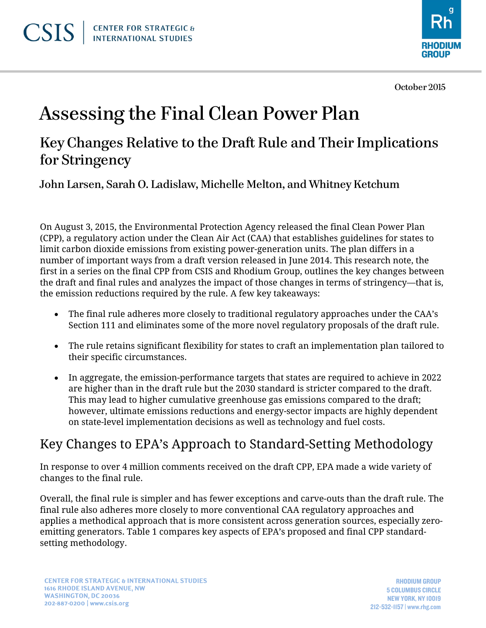



October 2015

# Assessing the Final Clean Power Plan

## Key Changes Relative to the Draft Rule and Their Implications for Stringency

John Larsen, Sarah O. Ladislaw, Michelle Melton, and Whitney Ketchum

On August 3, 2015, the Environmental Protection Agency released the final Clean Power Plan (CPP), a regulatory action under the Clean Air Act (CAA) that establishes guidelines for states to limit carbon dioxide emissions from existing power-generation units. The plan differs in a number of important ways from a draft version released in June 2014. This research note, the first in a series on the final CPP from CSIS and Rhodium Group, outlines the key changes between the draft and final rules and analyzes the impact of those changes in terms of stringency—that is, the emission reductions required by the rule. A few key takeaways:

- The final rule adheres more closely to traditional regulatory approaches under the CAA's Section 111 and eliminates some of the more novel regulatory proposals of the draft rule.
- The rule retains significant flexibility for states to craft an implementation plan tailored to their specific circumstances.
- In aggregate, the emission-performance targets that states are required to achieve in 2022 are higher than in the draft rule but the 2030 standard is stricter compared to the draft. This may lead to higher cumulative greenhouse gas emissions compared to the draft; however, ultimate emissions reductions and energy-sector impacts are highly dependent on state-level implementation decisions as well as technology and fuel costs.

### Key Changes to EPA's Approach to Standard-Setting Methodology

In response to over 4 million comments received on the draft CPP, EPA made a wide variety of changes to the final rule.

Overall, the final rule is simpler and has fewer exceptions and carve-outs than the draft rule. The final rule also adheres more closely to more conventional CAA regulatory approaches and applies a methodical approach that is more consistent across generation sources, especially zeroemitting generators. Table 1 compares key aspects of EPA's proposed and final CPP standardsetting methodology.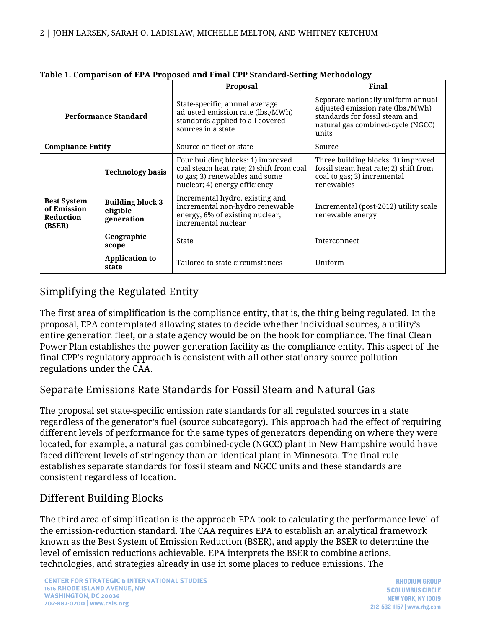|                                                                 |                                                   | <b>Proposal</b>                                                                                                                                  | Final                                                                                                                                                   |  |
|-----------------------------------------------------------------|---------------------------------------------------|--------------------------------------------------------------------------------------------------------------------------------------------------|---------------------------------------------------------------------------------------------------------------------------------------------------------|--|
| <b>Performance Standard</b>                                     |                                                   | State-specific, annual average<br>adjusted emission rate (lbs./MWh)<br>standards applied to all covered<br>sources in a state                    | Separate nationally uniform annual<br>adjusted emission rate (lbs./MWh)<br>standards for fossil steam and<br>natural gas combined-cycle (NGCC)<br>units |  |
| <b>Compliance Entity</b>                                        |                                                   | Source or fleet or state                                                                                                                         | Source                                                                                                                                                  |  |
|                                                                 | <b>Technology basis</b>                           | Four building blocks: 1) improved<br>coal steam heat rate; 2) shift from coal<br>to gas; 3) renewables and some<br>nuclear; 4) energy efficiency | Three building blocks: 1) improved<br>fossil steam heat rate; 2) shift from<br>coal to gas; 3) incremental<br>renewables                                |  |
| <b>Best System</b><br>of Emission<br><b>Reduction</b><br>(BSER) | <b>Building block 3</b><br>eligible<br>generation | Incremental hydro, existing and<br>incremental non-hydro renewable<br>energy, 6% of existing nuclear,<br>incremental nuclear                     | Incremental (post-2012) utility scale<br>renewable energy                                                                                               |  |
|                                                                 | Geographic<br>scope                               | State                                                                                                                                            | Interconnect                                                                                                                                            |  |
|                                                                 | <b>Application to</b><br>state                    | Tailored to state circumstances                                                                                                                  | Uniform                                                                                                                                                 |  |

**Table 1. Comparison of EPA Proposed and Final CPP Standard-Setting Methodology**

### Simplifying the Regulated Entity

The first area of simplification is the compliance entity, that is, the thing being regulated. In the proposal, EPA contemplated allowing states to decide whether individual sources, a utility's entire generation fleet, or a state agency would be on the hook for compliance. The final Clean Power Plan establishes the power-generation facility as the compliance entity. This aspect of the final CPP's regulatory approach is consistent with all other stationary source pollution regulations under the CAA.

#### Separate Emissions Rate Standards for Fossil Steam and Natural Gas

The proposal set state-specific emission rate standards for all regulated sources in a state regardless of the generator's fuel (source subcategory). This approach had the effect of requiring different levels of performance for the same types of generators depending on where they were located, for example, a natural gas combined-cycle (NGCC) plant in New Hampshire would have faced different levels of stringency than an identical plant in Minnesota. The final rule establishes separate standards for fossil steam and NGCC units and these standards are consistent regardless of location.

#### Different Building Blocks

The third area of simplification is the approach EPA took to calculating the performance level of the emission-reduction standard. The CAA requires EPA to establish an analytical framework known as the Best System of Emission Reduction (BSER), and apply the BSER to determine the level of emission reductions achievable. EPA interprets the BSER to combine actions, technologies, and strategies already in use in some places to reduce emissions. The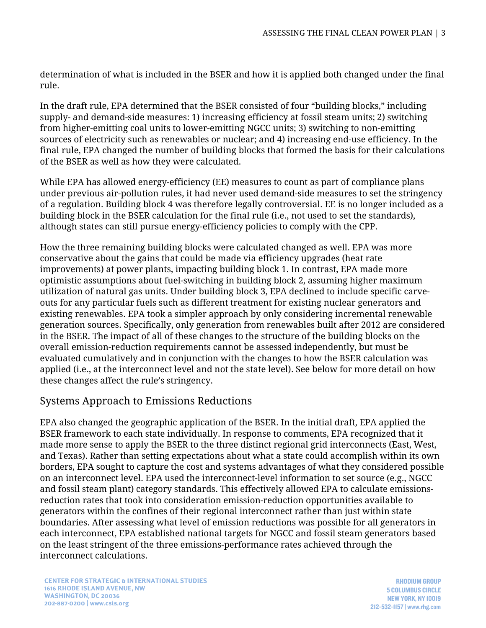determination of what is included in the BSER and how it is applied both changed under the final rule.

In the draft rule, EPA determined that the BSER consisted of four "building blocks," including supply- and demand-side measures: 1) increasing efficiency at fossil steam units; 2) switching from higher-emitting coal units to lower-emitting NGCC units; 3) switching to non-emitting sources of electricity such as renewables or nuclear; and 4) increasing end-use efficiency. In the final rule, EPA changed the number of building blocks that formed the basis for their calculations of the BSER as well as how they were calculated.

While EPA has allowed energy-efficiency (EE) measures to count as part of compliance plans under previous air-pollution rules, it had never used demand-side measures to set the stringency of a regulation. Building block 4 was therefore legally controversial. EE is no longer included as a building block in the BSER calculation for the final rule (i.e., not used to set the standards), although states can still pursue energy-efficiency policies to comply with the CPP.

How the three remaining building blocks were calculated changed as well. EPA was more conservative about the gains that could be made via efficiency upgrades (heat rate improvements) at power plants, impacting building block 1. In contrast, EPA made more optimistic assumptions about fuel-switching in building block 2, assuming higher maximum utilization of natural gas units. Under building block 3, EPA declined to include specific carveouts for any particular fuels such as different treatment for existing nuclear generators and existing renewables. EPA took a simpler approach by only considering incremental renewable generation sources. Specifically, only generation from renewables built after 2012 are considered in the BSER. The impact of all of these changes to the structure of the building blocks on the overall emission-reduction requirements cannot be assessed independently, but must be evaluated cumulatively and in conjunction with the changes to how the BSER calculation was applied (i.e., at the interconnect level and not the state level). See below for more detail on how these changes affect the rule's stringency.

#### Systems Approach to Emissions Reductions

EPA also changed the geographic application of the BSER. In the initial draft, EPA applied the BSER framework to each state individually. In response to comments, EPA recognized that it made more sense to apply the BSER to the three distinct regional grid interconnects (East, West, and Texas). Rather than setting expectations about what a state could accomplish within its own borders, EPA sought to capture the cost and systems advantages of what they considered possible on an interconnect level. EPA used the interconnect-level information to set source (e.g., NGCC and fossil steam plant) category standards. This effectively allowed EPA to calculate emissionsreduction rates that took into consideration emission-reduction opportunities available to generators within the confines of their regional interconnect rather than just within state boundaries. After assessing what level of emission reductions was possible for all generators in each interconnect, EPA established national targets for NGCC and fossil steam generators based on the least stringent of the three emissions-performance rates achieved through the interconnect calculations.

RHODIUM GROUP 5 COLUMBUS CIRCLE NEW YORK, NY 10019 212-532-1157 | www.rhg.com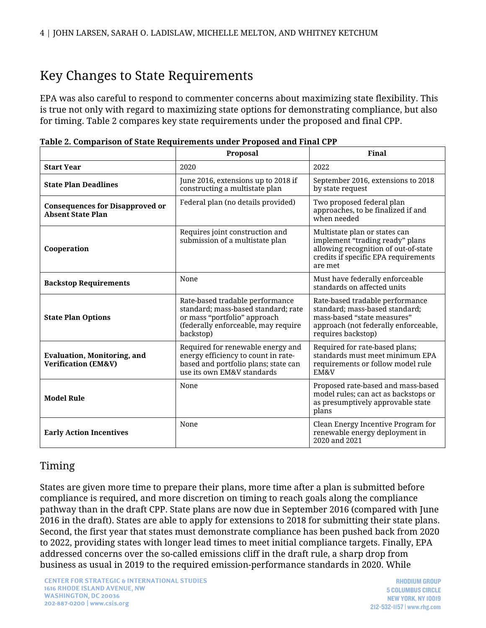## Key Changes to State Requirements

EPA was also careful to respond to commenter concerns about maximizing state flexibility. This is true not only with regard to maximizing state options for demonstrating compliance, but also for timing. Table 2 compares key state requirements under the proposed and final CPP.

|                                                                      | Proposal                                                                                                                                                   | Final                                                                                                                                                          |  |  |
|----------------------------------------------------------------------|------------------------------------------------------------------------------------------------------------------------------------------------------------|----------------------------------------------------------------------------------------------------------------------------------------------------------------|--|--|
| <b>Start Year</b>                                                    | 2020                                                                                                                                                       | 2022                                                                                                                                                           |  |  |
| <b>State Plan Deadlines</b>                                          | June 2016, extensions up to 2018 if<br>constructing a multistate plan                                                                                      | September 2016, extensions to 2018<br>by state request                                                                                                         |  |  |
| <b>Consequences for Disapproved or</b><br><b>Absent State Plan</b>   | Federal plan (no details provided)                                                                                                                         | Two proposed federal plan<br>approaches, to be finalized if and<br>when needed                                                                                 |  |  |
| Cooperation                                                          | Requires joint construction and<br>submission of a multistate plan                                                                                         | Multistate plan or states can<br>implement "trading ready" plans<br>allowing recognition of out-of-state<br>credits if specific EPA requirements<br>are met    |  |  |
| <b>Backstop Requirements</b>                                         | None                                                                                                                                                       | Must have federally enforceable<br>standards on affected units                                                                                                 |  |  |
| <b>State Plan Options</b>                                            | Rate-based tradable performance<br>standard; mass-based standard; rate<br>or mass "portfolio" approach<br>(federally enforceable, may require<br>backstop) | Rate-based tradable performance<br>standard; mass-based standard;<br>mass-based "state measures"<br>approach (not federally enforceable,<br>requires backstop) |  |  |
| <b>Evaluation, Monitoring, and</b><br><b>Verification (EM&amp;V)</b> | Required for renewable energy and<br>energy efficiency to count in rate-<br>based and portfolio plans; state can<br>use its own EM&V standards             | Required for rate-based plans;<br>standards must meet minimum EPA<br>requirements or follow model rule<br>EM&V                                                 |  |  |
| <b>Model Rule</b>                                                    | None                                                                                                                                                       | Proposed rate-based and mass-based<br>model rules; can act as backstops or<br>as presumptively approvable state<br>plans                                       |  |  |
| <b>Early Action Incentives</b>                                       | None                                                                                                                                                       | Clean Energy Incentive Program for<br>renewable energy deployment in<br>2020 and 2021                                                                          |  |  |

**Table 2. Comparison of State Requirements under Proposed and Final CPP**

#### Timing

States are given more time to prepare their plans, more time after a plan is submitted before compliance is required, and more discretion on timing to reach goals along the compliance pathway than in the draft CPP. State plans are now due in September 2016 (compared with June 2016 in the draft). States are able to apply for extensions to 2018 for submitting their state plans. Second, the first year that states must demonstrate compliance has been pushed back from 2020 to 2022, providing states with longer lead times to meet initial compliance targets. Finally, EPA addressed concerns over the so-called emissions cliff in the draft rule, a sharp drop from business as usual in 2019 to the required emission-performance standards in 2020. While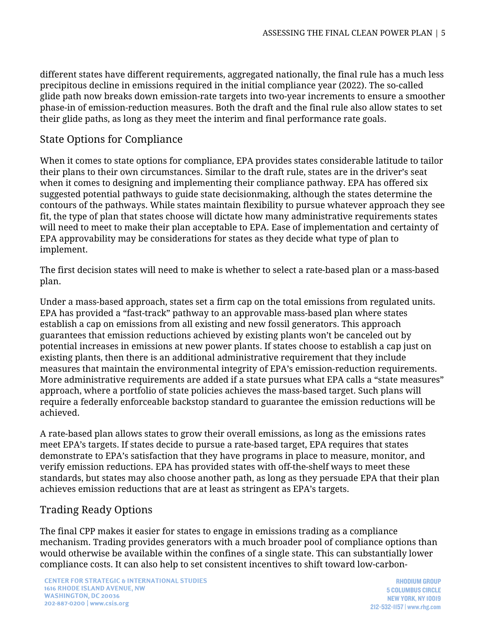different states have different requirements, aggregated nationally, the final rule has a much less precipitous decline in emissions required in the initial compliance year (2022). The so-called glide path now breaks down emission-rate targets into two-year increments to ensure a smoother phase-in of emission-reduction measures. Both the draft and the final rule also allow states to set their glide paths, as long as they meet the interim and final performance rate goals.

#### State Options for Compliance

When it comes to state options for compliance, EPA provides states considerable latitude to tailor their plans to their own circumstances. Similar to the draft rule, states are in the driver's seat when it comes to designing and implementing their compliance pathway. EPA has offered six suggested potential pathways to guide state decisionmaking, although the states determine the contours of the pathways. While states maintain flexibility to pursue whatever approach they see fit, the type of plan that states choose will dictate how many administrative requirements states will need to meet to make their plan acceptable to EPA. Ease of implementation and certainty of EPA approvability may be considerations for states as they decide what type of plan to implement.

The first decision states will need to make is whether to select a rate-based plan or a mass-based plan.

Under a mass-based approach, states set a firm cap on the total emissions from regulated units. EPA has provided a "fast-track" pathway to an approvable mass-based plan where states establish a cap on emissions from all existing and new fossil generators. This approach guarantees that emission reductions achieved by existing plants won't be canceled out by potential increases in emissions at new power plants. If states choose to establish a cap just on existing plants, then there is an additional administrative requirement that they include measures that maintain the environmental integrity of EPA's emission-reduction requirements. More administrative requirements are added if a state pursues what EPA calls a "state measures" approach, where a portfolio of state policies achieves the mass-based target. Such plans will require a federally enforceable backstop standard to guarantee the emission reductions will be achieved.

A rate-based plan allows states to grow their overall emissions, as long as the emissions rates meet EPA's targets. If states decide to pursue a rate-based target, EPA requires that states demonstrate to EPA's satisfaction that they have programs in place to measure, monitor, and verify emission reductions. EPA has provided states with off-the-shelf ways to meet these standards, but states may also choose another path, as long as they persuade EPA that their plan achieves emission reductions that are at least as stringent as EPA's targets.

#### Trading Ready Options

The final CPP makes it easier for states to engage in emissions trading as a compliance mechanism. Trading provides generators with a much broader pool of compliance options than would otherwise be available within the confines of a single state. This can substantially lower compliance costs. It can also help to set consistent incentives to shift toward low-carbon-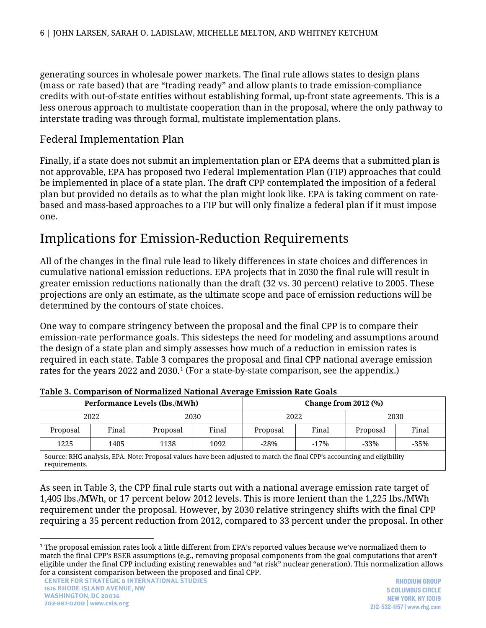generating sources in wholesale power markets. The final rule allows states to design plans (mass or rate based) that are "trading ready" and allow plants to trade emission-compliance credits with out-of-state entities without establishing formal, up-front state agreements. This is a less onerous approach to multistate cooperation than in the proposal, where the only pathway to interstate trading was through formal, multistate implementation plans.

#### Federal Implementation Plan

Finally, if a state does not submit an implementation plan or EPA deems that a submitted plan is not approvable, EPA has proposed two Federal Implementation Plan (FIP) approaches that could be implemented in place of a state plan. The draft CPP contemplated the imposition of a federal plan but provided no details as to what the plan might look like. EPA is taking comment on ratebased and mass-based approaches to a FIP but will only finalize a federal plan if it must impose one.

### Implications for Emission-Reduction Requirements

All of the changes in the final rule lead to likely differences in state choices and differences in cumulative national emission reductions. EPA projects that in 2030 the final rule will result in greater emission reductions nationally than the draft (32 vs. 30 percent) relative to 2005. These projections are only an estimate, as the ultimate scope and pace of emission reductions will be determined by the contours of state choices.

One way to compare stringency between the proposal and the final CPP is to compare their emission-rate performance goals. This sidesteps the need for modeling and assumptions around the design of a state plan and simply assesses how much of a reduction in emission rates is required in each state. Table 3 compares the proposal and final CPP national average emission rates for the years 2022 and 2030.<sup>[1](#page-5-0)</sup> (For a state-by-state comparison, see the appendix.)

|                                                                                                                         | Performance Levels (lbs./MWh)                      |          |       | <b>Change from 2012 (%)</b> |       |          |       |  |
|-------------------------------------------------------------------------------------------------------------------------|----------------------------------------------------|----------|-------|-----------------------------|-------|----------|-------|--|
| 2022                                                                                                                    |                                                    | 2030     |       | 2022                        |       | 2030     |       |  |
| Proposal                                                                                                                | Final                                              | Proposal | Final | Proposal                    | Final | Proposal | Final |  |
| 1225                                                                                                                    | 1138<br>1405<br>$-28%$<br>1092<br>$-17%$<br>$-33%$ |          |       |                             |       | $-35%$   |       |  |
| Source: RHG analysis, EPA. Note: Proposal values have been adjusted to match the final CPP's accounting and eligibility |                                                    |          |       |                             |       |          |       |  |

|  | Table 3. Comparison of Normalized National Average Emission Rate Goals |  |  |  |
|--|------------------------------------------------------------------------|--|--|--|
|  |                                                                        |  |  |  |

requirements.

As seen in Table 3, the CPP final rule starts out with a national average emission rate target of 1,405 lbs./MWh, or 17 percent below 2012 levels. This is more lenient than the 1,225 lbs./MWh requirement under the proposal. However, by 2030 relative stringency shifts with the final CPP requiring a 35 percent reduction from 2012, compared to 33 percent under the proposal. In other

<span id="page-5-0"></span> $\overline{a}$ <sup>1</sup> The proposal emission rates look a little different from EPA's reported values because we've normalized them to match the final CPP's BSER assumptions (e.g., removing proposal components from the goal computations that aren't eligible under the final CPP including existing renewables and "at risk" nuclear generation). This normalization allows for a consistent comparison between the proposed and final CPP.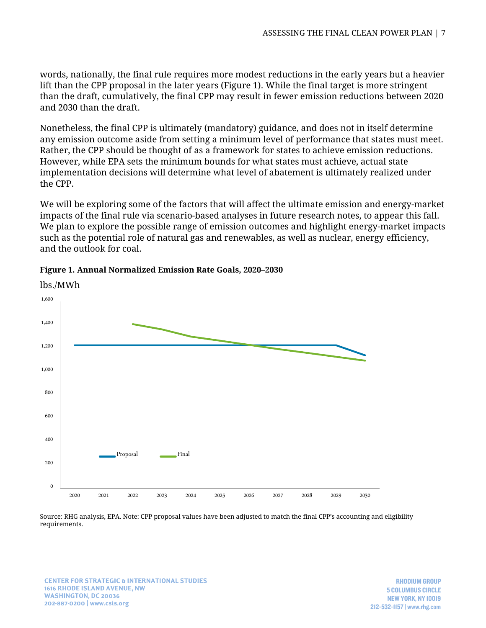words, nationally, the final rule requires more modest reductions in the early years but a heavier lift than the CPP proposal in the later years (Figure 1). While the final target is more stringent than the draft, cumulatively, the final CPP may result in fewer emission reductions between 2020 and 2030 than the draft.

Nonetheless, the final CPP is ultimately (mandatory) guidance, and does not in itself determine any emission outcome aside from setting a minimum level of performance that states must meet. Rather, the CPP should be thought of as a framework for states to achieve emission reductions. However, while EPA sets the minimum bounds for what states must achieve, actual state implementation decisions will determine what level of abatement is ultimately realized under the CPP.

We will be exploring some of the factors that will affect the ultimate emission and energy-market impacts of the final rule via scenario-based analyses in future research notes, to appear this fall. We plan to explore the possible range of emission outcomes and highlight energy-market impacts such as the potential role of natural gas and renewables, as well as nuclear, energy efficiency, and the outlook for coal.



|  | Figure 1. Annual Normalized Emission Rate Goals, 2020-2030 |  |  |  |
|--|------------------------------------------------------------|--|--|--|
|  |                                                            |  |  |  |
|  |                                                            |  |  |  |

Source: RHG analysis, EPA. Note: CPP proposal values have been adjusted to match the final CPP's accounting and eligibility requirements.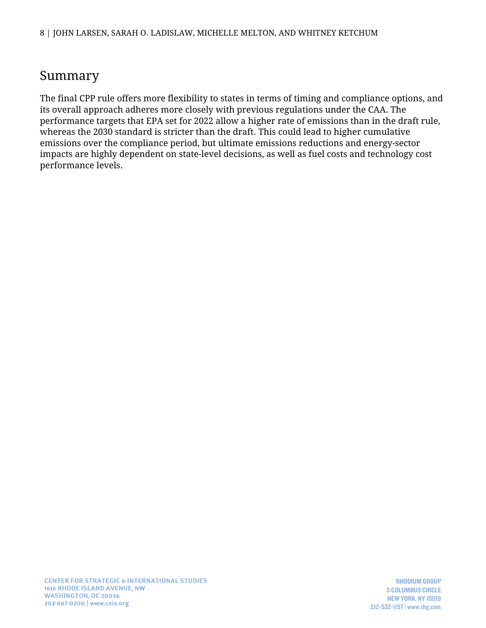### Summary

The final CPP rule offers more flexibility to states in terms of timing and compliance options, and its overall approach adheres more closely with previous regulations under the CAA. The performance targets that EPA set for 2022 allow a higher rate of emissions than in the draft rule, whereas the 2030 standard is stricter than the draft. This could lead to higher cumulative emissions over the compliance period, but ultimate emissions reductions and energy-sector impacts are highly dependent on state-level decisions, as well as fuel costs and technology cost performance levels.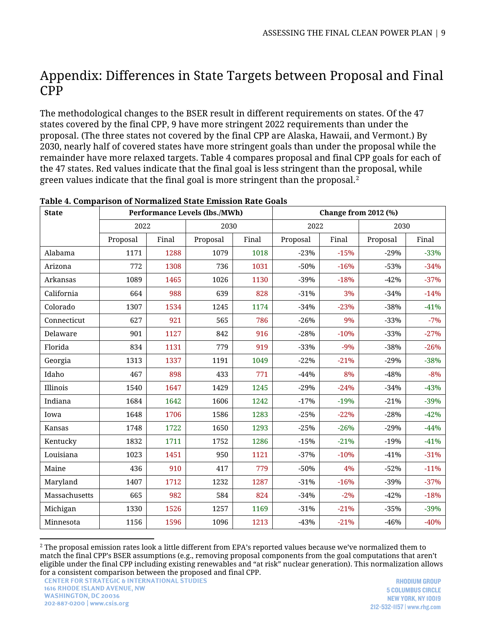### Appendix: Differences in State Targets between Proposal and Final CPP

The methodological changes to the BSER result in different requirements on states. Of the 47 states covered by the final CPP, 9 have more stringent 2022 requirements than under the proposal. (The three states not covered by the final CPP are Alaska, Hawaii, and Vermont.) By 2030, nearly half of covered states have more stringent goals than under the proposal while the remainder have more relaxed targets. Table 4 compares proposal and final CPP goals for each of the 47 states. Red values indicate that the final goal is less stringent than the proposal, while green values indicate that the final goal is more stringent than the proposal.<sup>[2](#page-8-0)</sup>

| <b>State</b>  |          |       | Performance Levels (lbs./MWh) |       | Change from 2012 (%) |        |          |        |
|---------------|----------|-------|-------------------------------|-------|----------------------|--------|----------|--------|
|               | 2022     |       | 2030                          |       | 2022                 |        | 2030     |        |
|               | Proposal | Final | Proposal                      | Final | Proposal             | Final  | Proposal | Final  |
| Alabama       | 1171     | 1288  | 1079                          | 1018  | $-23%$               | $-15%$ | $-29%$   | $-33%$ |
| Arizona       | 772      | 1308  | 736                           | 1031  | $-50%$               | $-16%$ | $-53%$   | $-34%$ |
| Arkansas      | 1089     | 1465  | 1026                          | 1130  | $-39%$               | $-18%$ | $-42%$   | $-37%$ |
| California    | 664      | 988   | 639                           | 828   | $-31%$               | 3%     | $-34%$   | $-14%$ |
| Colorado      | 1307     | 1534  | 1245                          | 1174  | $-34%$               | $-23%$ | $-38%$   | $-41%$ |
| Connecticut   | 627      | 921   | 565                           | 786   | $-26%$               | 9%     | $-33%$   | $-7%$  |
| Delaware      | 901      | 1127  | 842                           | 916   | $-28%$               | $-10%$ | $-33%$   | $-27%$ |
| Florida       | 834      | 1131  | 779                           | 919   | $-33%$               | $-9%$  | $-38%$   | $-26%$ |
| Georgia       | 1313     | 1337  | 1191                          | 1049  | $-22%$               | $-21%$ | $-29%$   | $-38%$ |
| Idaho         | 467      | 898   | 433                           | 771   | $-44%$               | 8%     | $-48%$   | $-8%$  |
| Illinois      | 1540     | 1647  | 1429                          | 1245  | $-29%$               | $-24%$ | $-34%$   | $-43%$ |
| Indiana       | 1684     | 1642  | 1606                          | 1242  | $-17%$               | $-19%$ | $-21%$   | $-39%$ |
| Iowa          | 1648     | 1706  | 1586                          | 1283  | $-25%$               | $-22%$ | $-28%$   | $-42%$ |
| Kansas        | 1748     | 1722  | 1650                          | 1293  | $-25%$               | $-26%$ | $-29%$   | $-44%$ |
| Kentucky      | 1832     | 1711  | 1752                          | 1286  | $-15%$               | $-21%$ | $-19%$   | $-41%$ |
| Louisiana     | 1023     | 1451  | 950                           | 1121  | $-37%$               | $-10%$ | $-41%$   | $-31%$ |
| Maine         | 436      | 910   | 417                           | 779   | $-50%$               | 4%     | $-52%$   | $-11%$ |
| Maryland      | 1407     | 1712  | 1232                          | 1287  | $-31%$               | $-16%$ | $-39%$   | $-37%$ |
| Massachusetts | 665      | 982   | 584                           | 824   | $-34%$               | $-2%$  | $-42%$   | $-18%$ |
| Michigan      | 1330     | 1526  | 1257                          | 1169  | $-31%$               | $-21%$ | $-35%$   | $-39%$ |
| Minnesota     | 1156     | 1596  | 1096                          | 1213  | $-43%$               | $-21%$ | $-46%$   | $-40%$ |

#### **Table 4. Comparison of Normalized State Emission Rate Goals**

**202-887-0200 | www.csis.org** 

<span id="page-8-0"></span> $\overline{a}$ <sup>2</sup> The proposal emission rates look a little different from EPA's reported values because we've normalized them to match the final CPP's BSER assumptions (e.g., removing proposal components from the goal computations that aren't eligible under the final CPP including existing renewables and "at risk" nuclear generation). This normalization allows for a consistent comparison between the proposed and final CPP.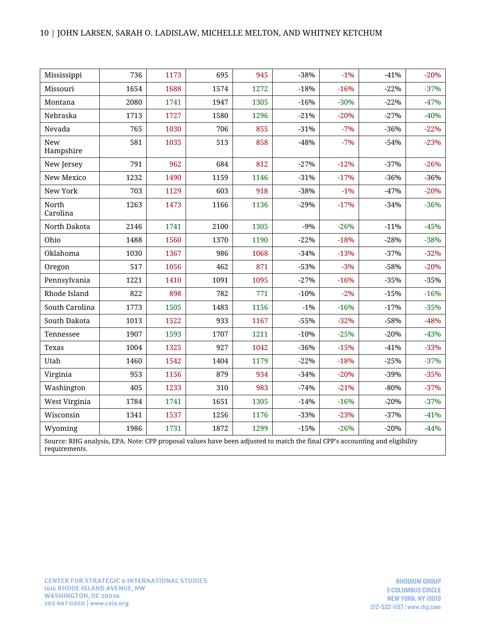|      |      |      |      |        |        |        | $-20%$ |
|------|------|------|------|--------|--------|--------|--------|
| 1654 | 1688 | 1574 | 1272 | $-18%$ | $-16%$ | $-22%$ | $-37%$ |
| 2080 | 1741 | 1947 | 1305 | $-16%$ | $-30%$ | $-22%$ | $-47%$ |
| 1713 | 1727 | 1580 | 1296 | $-21%$ | $-20%$ | $-27%$ | $-40%$ |
| 765  | 1030 | 706  | 855  | $-31%$ | $-7%$  | $-36%$ | $-22%$ |
| 581  | 1035 | 513  | 858  | $-48%$ | $-7%$  | $-54%$ | $-23%$ |
| 791  | 962  | 684  | 812  | $-27%$ | $-12%$ | $-37%$ | $-26%$ |
| 1232 | 1490 | 1159 | 1146 | $-31%$ | $-17%$ | $-36%$ | $-36%$ |
| 703  | 1129 | 603  | 918  | $-38%$ | $-1%$  | $-47%$ | $-20%$ |
| 1263 | 1473 | 1166 | 1136 | $-29%$ | $-17%$ | $-34%$ | $-36%$ |
| 2146 | 1741 | 2100 | 1305 | $-9%$  | $-26%$ | $-11%$ | $-45%$ |
| 1488 | 1560 | 1370 | 1190 | $-22%$ | $-18%$ | $-28%$ | $-38%$ |
| 1030 | 1367 | 986  | 1068 | $-34%$ | $-13%$ | $-37%$ | $-32%$ |
| 517  | 1056 | 462  | 871  | $-53%$ | $-3%$  | $-58%$ | $-20%$ |
| 1221 | 1410 | 1091 | 1095 | $-27%$ | $-16%$ | $-35%$ | $-35%$ |
| 822  | 898  | 782  | 771  | $-10%$ | $-2%$  | $-15%$ | $-16%$ |
| 1773 | 1505 | 1483 | 1156 | $-1\%$ | $-16%$ | $-17%$ | $-35%$ |
| 1013 | 1522 | 933  | 1167 | $-55%$ | $-32%$ | $-58%$ | $-48%$ |
| 1907 | 1593 | 1707 | 1211 | $-10%$ | $-25%$ | $-20%$ | $-43%$ |
| 1004 | 1325 | 927  | 1042 | $-36%$ | $-15%$ | $-41%$ | $-33%$ |
| 1460 | 1542 | 1404 | 1179 | $-22%$ | $-18%$ | $-25%$ | $-37%$ |
| 953  | 1156 | 879  | 934  | $-34%$ | $-20%$ | $-39%$ | $-35%$ |
| 405  | 1233 | 310  | 983  | $-74%$ | $-21%$ | $-80%$ | $-37%$ |
| 1784 | 1741 | 1651 | 1305 | $-14%$ | $-16%$ | $-20%$ | $-37%$ |
| 1341 | 1537 | 1256 | 1176 | $-33%$ | $-23%$ | $-37%$ | $-41%$ |
| 1986 | 1731 | 1872 | 1299 | $-15%$ | $-26%$ | $-20%$ | $-44%$ |
|      | 736  | 1173 | 695  | 945    | $-38%$ | $-1%$  | $-41%$ |

Source: RHG analysis, EPA. Note: CPP proposal values have been adjusted to match the final CPP's accounting and eligibility requirements.